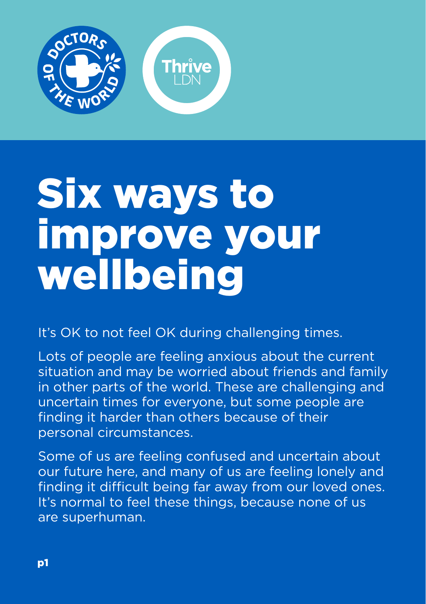

## Six ways to improve your wellbeing

It's OK to not feel OK during challenging times.

Lots of people are feeling anxious about the current situation and may be worried about friends and family in other parts of the world. These are challenging and uncertain times for everyone, but some people are finding it harder than others because of their personal circumstances.

Some of us are feeling confused and uncertain about our future here, and many of us are feeling lonely and finding it difficult being far away from our loved ones. It's normal to feel these things, because none of us are superhuman.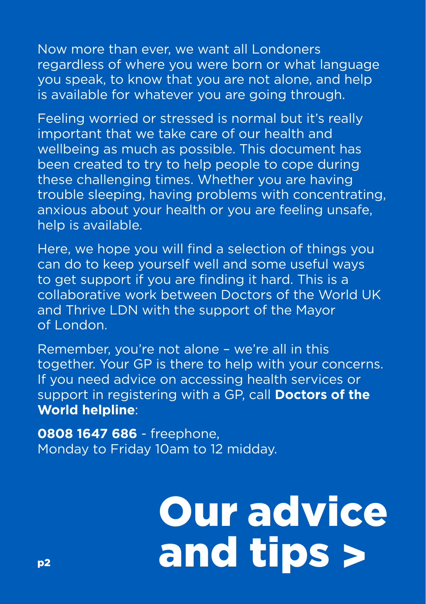Now more than ever, we want all Londoners regardless of where you were born or what language you speak, to know that you are not alone, and help is available for whatever you are going through.

Feeling worried or stressed is normal but it's really important that we take care of our health and wellbeing as much as possible. This document has been created to try to help people to cope during these challenging times. Whether you are having trouble sleeping, having problems with concentrating, anxious about your health or you are feeling unsafe, help is available.

Here, we hope you will find a selection of things you can do to keep yourself well and some useful ways to get support if you are finding it hard. This is a collaborative work between Doctors of the World UK and Thrive LDN with the support of the Mayor of London.

Remember, you're not alone – we're all in this together. Your GP is there to help with your concerns. If you need advice on accessing health services or support in registering with a GP, call **Doctors of the World helpline**:

**0808 1647 686** - freephone, Monday to Friday 10am to 12 midday.

# Our advice and tips >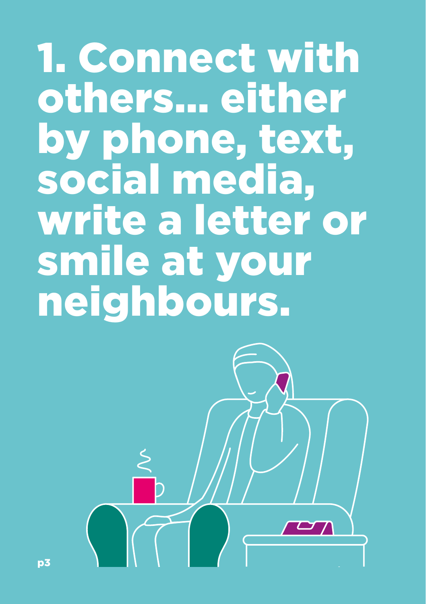1. Connect with others… either by phone, text, social media, write a letter or smile at your neighbours.

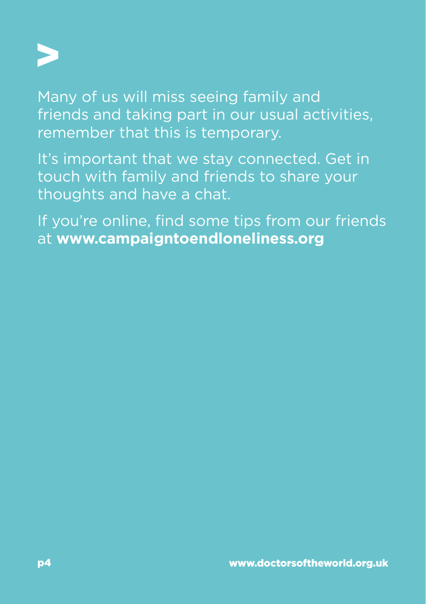

Many of us will miss seeing family and friends and taking part in our usual activities, remember that this is temporary.

It's important that we stay connected. Get in touch with family and friends to share your thoughts and have a chat.

If you're online, find some tips from our friends at **[www.campaigntoendloneliness.org](https://www.campaigntoendloneliness.org/)**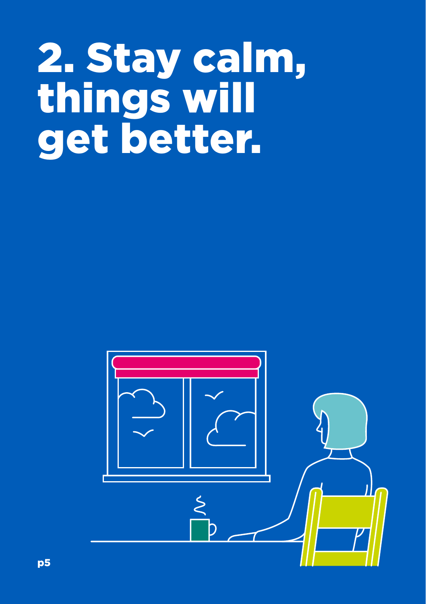## 2. Stay calm, things will get better.

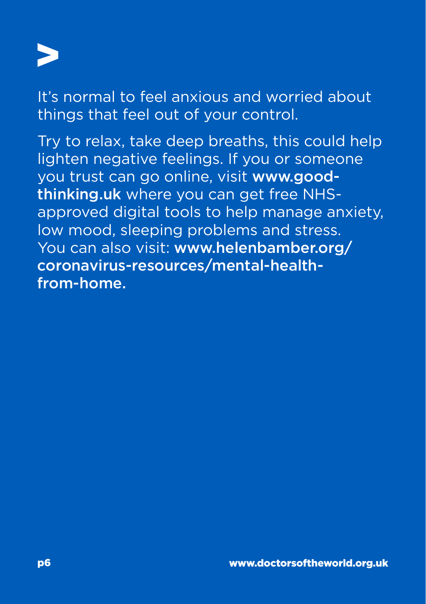

It's normal to feel anxious and worried about things that feel out of your control.

Try to relax, take deep breaths, this could help lighten negative feelings. If you or someone you trust can go online, visit [www.good](https://www.good-thinking.uk/)[thinking.uk](https://www.good-thinking.uk/) where you can get free NHSapproved digital tools to help manage anxiety, low mood, sleeping problems and stress. You can also visit: [www.helenbamber.org/](http://www.helenbamber.org/coronavirus-resources/mental-health-from-home/) [coronavirus-resources/mental-health](http://www.helenbamber.org/coronavirus-resources/mental-health-from-home/)[from-home](http://www.helenbamber.org/coronavirus-resources/mental-health-from-home/).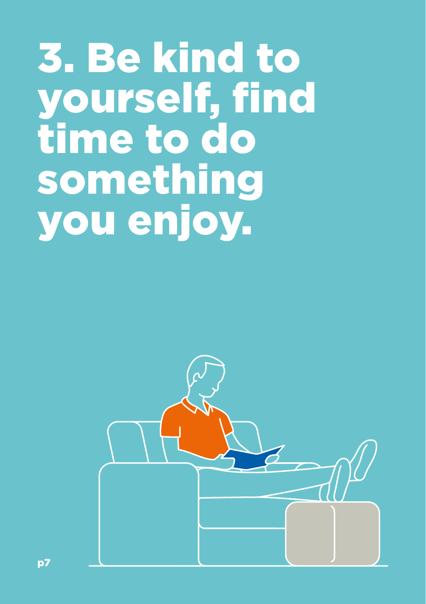### 3. Be kind to yourself, find time to do something you enjoy.

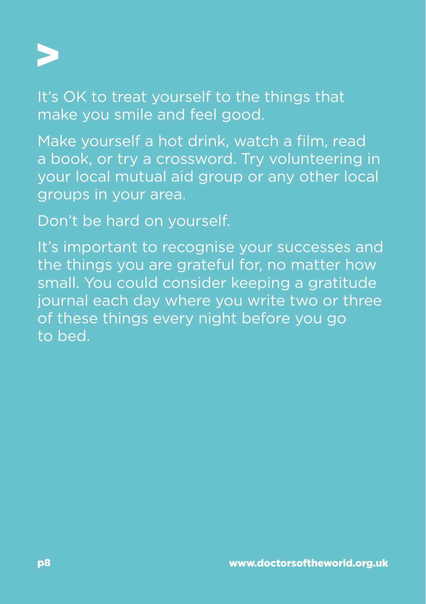

It's OK to treat yourself to the things that make you smile and feel good.

Make yourself a hot drink, watch a film, read a book, or try a crossword. Try volunteering in your local mutual aid group or any other local groups in your area.

Don't be hard on yourself.

It's important to recognise your successes and the things you are grateful for, no matter how small. You could consider keeping a gratitude journal each day where you write two or three of these things every night before you go to bed.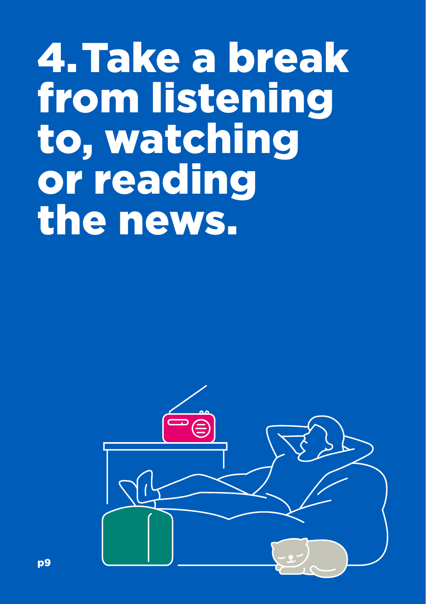#### 4. Take a break from listening to, watching or reading the news.

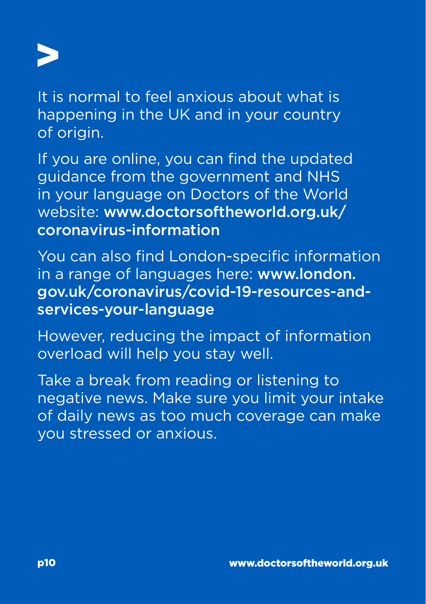

It is normal to feel anxious about what is happening in the UK and in your country of origin.

If you are online, you can find the updated guidance from the government and NHS in your language on Doctors of the World website: [www.doctorsoftheworld.org.uk/](https://www.doctorsoftheworld.org.uk/coronavirus-information/) [coronavirus-information](https://www.doctorsoftheworld.org.uk/coronavirus-information/)

You can also find London-specific information in a range of languages here: [www.london.](https://www.london.gov.uk/coronavirus/covid-19-resources-and-services-your-language) [gov.uk/coronavirus/covid-19-resources-and](https://www.london.gov.uk/coronavirus/covid-19-resources-and-services-your-language)[services-your-language](https://www.london.gov.uk/coronavirus/covid-19-resources-and-services-your-language)

However, reducing the impact of information overload will help you stay well.

Take a break from reading or listening to negative news. Make sure you limit your intake of daily news as too much coverage can make you stressed or anxious.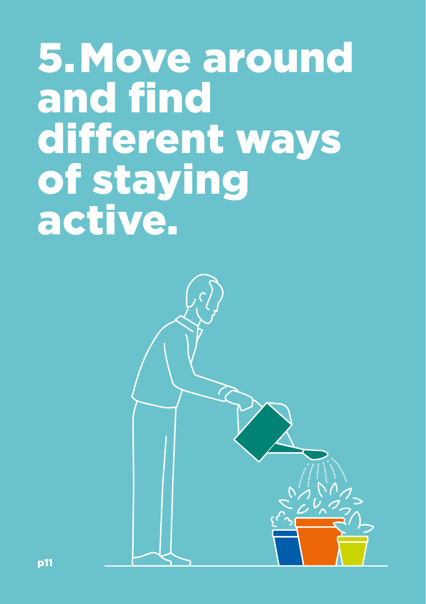#### 5. Move around and find different ways of staying active.

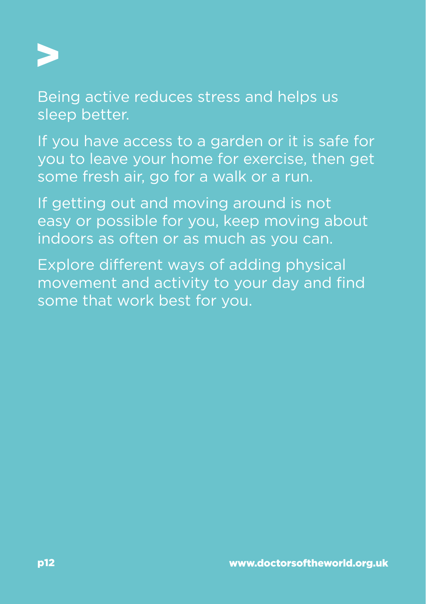

Being active reduces stress and helps us sleep better.

If you have access to a garden or it is safe for you to leave your home for exercise, then get some fresh air, go for a walk or a run.

If getting out and moving around is not easy or possible for you, keep moving about indoors as often or as much as you can.

Explore different ways of adding physical movement and activity to your day and find some that work best for you.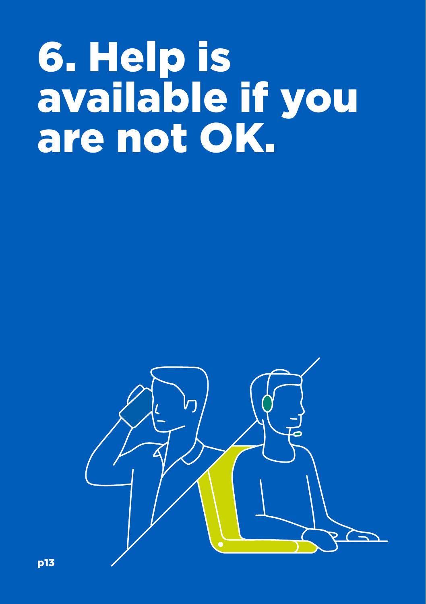## 6. Help is available if you are not OK.

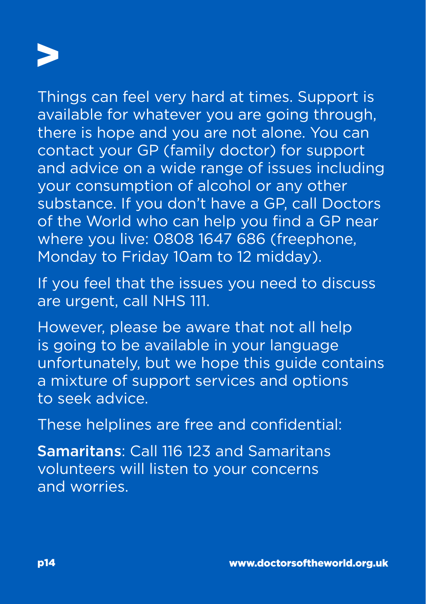

Things can feel very hard at times. Support is available for whatever you are going through, there is hope and you are not alone. You can contact your GP (family doctor) for support and advice on a wide range of issues including your consumption of alcohol or any other substance. If you don't have a GP, call Doctors of the World who can help you find a GP near where you live: 0808 1647 686 (freephone, Monday to Friday 10am to 12 midday).

If you feel that the issues you need to discuss are urgent, call NHS 111.

However, please be aware that not all help is going to be available in your language unfortunately, but we hope this guide contains a mixture of support services and options to seek advice.

These helplines are free and confidential:

Samaritans: Call 116 123 and Samaritans volunteers will listen to your concerns and worries.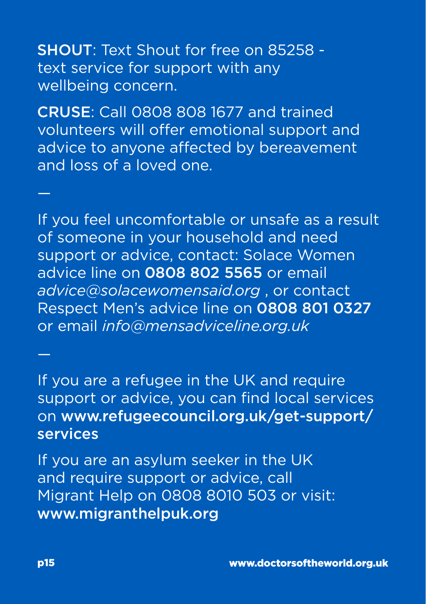SHOUT: Text Shout for free on 85258 text service for support with any wellbeing concern.

CRUSE: Call 0808 808 1677 and trained volunteers will offer emotional support and advice to anyone affected by bereavement and loss of a loved one.

If you feel uncomfortable or unsafe as a result of someone in your household and need support or advice, contact: Solace Women advice line on 0808 802 5565 or email *[advice@solacewomensaid.org](mailto:advice@solacewomensaid.org)* , or contact Respect Men's advice line on 0808 801 0327 or email *[info@mensadviceline.org.uk](mailto:info@mensadviceline.org.uk)*

If you are a refugee in the UK and require support or advice, you can find local services on [www.refugeecouncil.org.uk/get-support/](https://www.refugeecouncil.org.uk/get-support/services/) [services](https://www.refugeecouncil.org.uk/get-support/services/)

If you are an asylum seeker in the UK and require support or advice, call Migrant Help on 0808 8010 503 or visit: [www.migranthelpuk.org](https://www.migranthelpuk.org/)

—

—